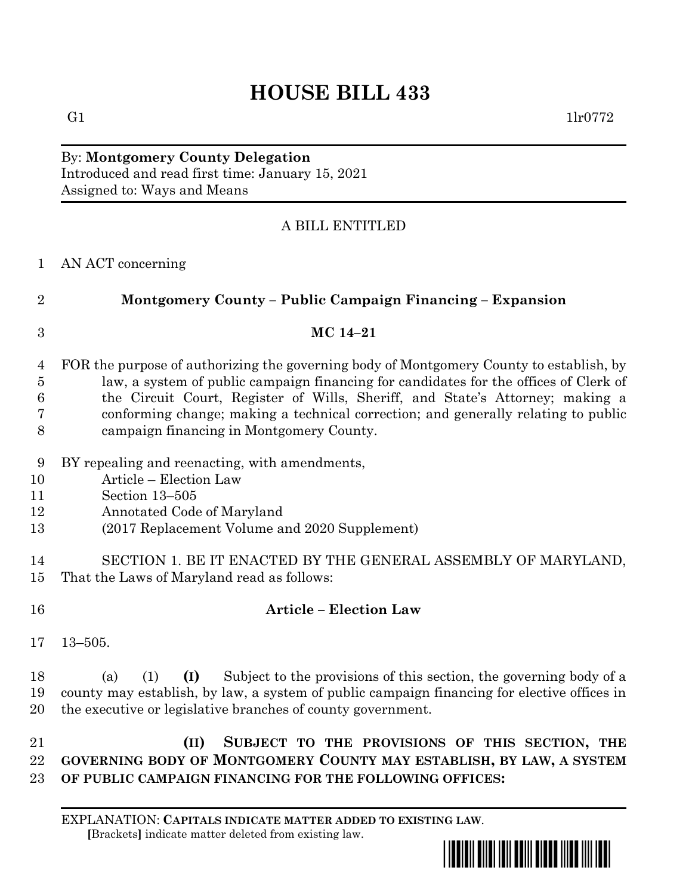## **HOUSE BILL 433**

## By: **Montgomery County Delegation** Introduced and read first time: January 15, 2021 Assigned to: Ways and Means

## A BILL ENTITLED

| AN ACT concerning |
|-------------------|

| $\boldsymbol{3}$<br>MC 14-21<br>FOR the purpose of authorizing the governing body of Montgomery County to establish, by<br>$\overline{4}$<br>law, a system of public campaign financing for candidates for the offices of Clerk of<br>$\overline{5}$<br>the Circuit Court, Register of Wills, Sheriff, and State's Attorney; making a<br>6<br>conforming change; making a technical correction; and generally relating to public<br>7<br>8<br>campaign financing in Montgomery County.<br>9<br>BY repealing and reenacting, with amendments,<br>Article - Election Law<br>10<br>Section 13-505<br>11<br>Annotated Code of Maryland<br>12<br>(2017 Replacement Volume and 2020 Supplement)<br>13<br>SECTION 1. BE IT ENACTED BY THE GENERAL ASSEMBLY OF MARYLAND,<br>14<br>That the Laws of Maryland read as follows:<br>15<br><b>Article - Election Law</b><br>16<br>17<br>$13 - 505$ .<br>Subject to the provisions of this section, the governing body of a<br>18<br>(a)<br>(1)<br>(I)<br>county may establish, by law, a system of public campaign financing for elective offices in<br>19 | Montgomery County - Public Campaign Financing - Expansion |
|-----------------------------------------------------------------------------------------------------------------------------------------------------------------------------------------------------------------------------------------------------------------------------------------------------------------------------------------------------------------------------------------------------------------------------------------------------------------------------------------------------------------------------------------------------------------------------------------------------------------------------------------------------------------------------------------------------------------------------------------------------------------------------------------------------------------------------------------------------------------------------------------------------------------------------------------------------------------------------------------------------------------------------------------------------------------------------------------------|-----------------------------------------------------------|
|                                                                                                                                                                                                                                                                                                                                                                                                                                                                                                                                                                                                                                                                                                                                                                                                                                                                                                                                                                                                                                                                                               |                                                           |
|                                                                                                                                                                                                                                                                                                                                                                                                                                                                                                                                                                                                                                                                                                                                                                                                                                                                                                                                                                                                                                                                                               |                                                           |
|                                                                                                                                                                                                                                                                                                                                                                                                                                                                                                                                                                                                                                                                                                                                                                                                                                                                                                                                                                                                                                                                                               |                                                           |
|                                                                                                                                                                                                                                                                                                                                                                                                                                                                                                                                                                                                                                                                                                                                                                                                                                                                                                                                                                                                                                                                                               |                                                           |
|                                                                                                                                                                                                                                                                                                                                                                                                                                                                                                                                                                                                                                                                                                                                                                                                                                                                                                                                                                                                                                                                                               |                                                           |
|                                                                                                                                                                                                                                                                                                                                                                                                                                                                                                                                                                                                                                                                                                                                                                                                                                                                                                                                                                                                                                                                                               |                                                           |
|                                                                                                                                                                                                                                                                                                                                                                                                                                                                                                                                                                                                                                                                                                                                                                                                                                                                                                                                                                                                                                                                                               |                                                           |
|                                                                                                                                                                                                                                                                                                                                                                                                                                                                                                                                                                                                                                                                                                                                                                                                                                                                                                                                                                                                                                                                                               |                                                           |
|                                                                                                                                                                                                                                                                                                                                                                                                                                                                                                                                                                                                                                                                                                                                                                                                                                                                                                                                                                                                                                                                                               |                                                           |
|                                                                                                                                                                                                                                                                                                                                                                                                                                                                                                                                                                                                                                                                                                                                                                                                                                                                                                                                                                                                                                                                                               |                                                           |
|                                                                                                                                                                                                                                                                                                                                                                                                                                                                                                                                                                                                                                                                                                                                                                                                                                                                                                                                                                                                                                                                                               |                                                           |
|                                                                                                                                                                                                                                                                                                                                                                                                                                                                                                                                                                                                                                                                                                                                                                                                                                                                                                                                                                                                                                                                                               |                                                           |
|                                                                                                                                                                                                                                                                                                                                                                                                                                                                                                                                                                                                                                                                                                                                                                                                                                                                                                                                                                                                                                                                                               |                                                           |
|                                                                                                                                                                                                                                                                                                                                                                                                                                                                                                                                                                                                                                                                                                                                                                                                                                                                                                                                                                                                                                                                                               |                                                           |
|                                                                                                                                                                                                                                                                                                                                                                                                                                                                                                                                                                                                                                                                                                                                                                                                                                                                                                                                                                                                                                                                                               |                                                           |
|                                                                                                                                                                                                                                                                                                                                                                                                                                                                                                                                                                                                                                                                                                                                                                                                                                                                                                                                                                                                                                                                                               |                                                           |
|                                                                                                                                                                                                                                                                                                                                                                                                                                                                                                                                                                                                                                                                                                                                                                                                                                                                                                                                                                                                                                                                                               |                                                           |
| the executive or legislative branches of county government.<br>20                                                                                                                                                                                                                                                                                                                                                                                                                                                                                                                                                                                                                                                                                                                                                                                                                                                                                                                                                                                                                             |                                                           |
| 21<br>SUBJECT TO THE PROVISIONS OF THIS SECTION, THE<br>(II)                                                                                                                                                                                                                                                                                                                                                                                                                                                                                                                                                                                                                                                                                                                                                                                                                                                                                                                                                                                                                                  |                                                           |
| GOVERNING BODY OF MONTGOMERY COUNTY MAY ESTABLISH, BY LAW, A SYSTEM<br>22                                                                                                                                                                                                                                                                                                                                                                                                                                                                                                                                                                                                                                                                                                                                                                                                                                                                                                                                                                                                                     |                                                           |
| OF PUBLIC CAMPAIGN FINANCING FOR THE FOLLOWING OFFICES:<br>23                                                                                                                                                                                                                                                                                                                                                                                                                                                                                                                                                                                                                                                                                                                                                                                                                                                                                                                                                                                                                                 |                                                           |
|                                                                                                                                                                                                                                                                                                                                                                                                                                                                                                                                                                                                                                                                                                                                                                                                                                                                                                                                                                                                                                                                                               |                                                           |
|                                                                                                                                                                                                                                                                                                                                                                                                                                                                                                                                                                                                                                                                                                                                                                                                                                                                                                                                                                                                                                                                                               |                                                           |

EXPLANATION: **CAPITALS INDICATE MATTER ADDED TO EXISTING LAW**.  **[**Brackets**]** indicate matter deleted from existing law.

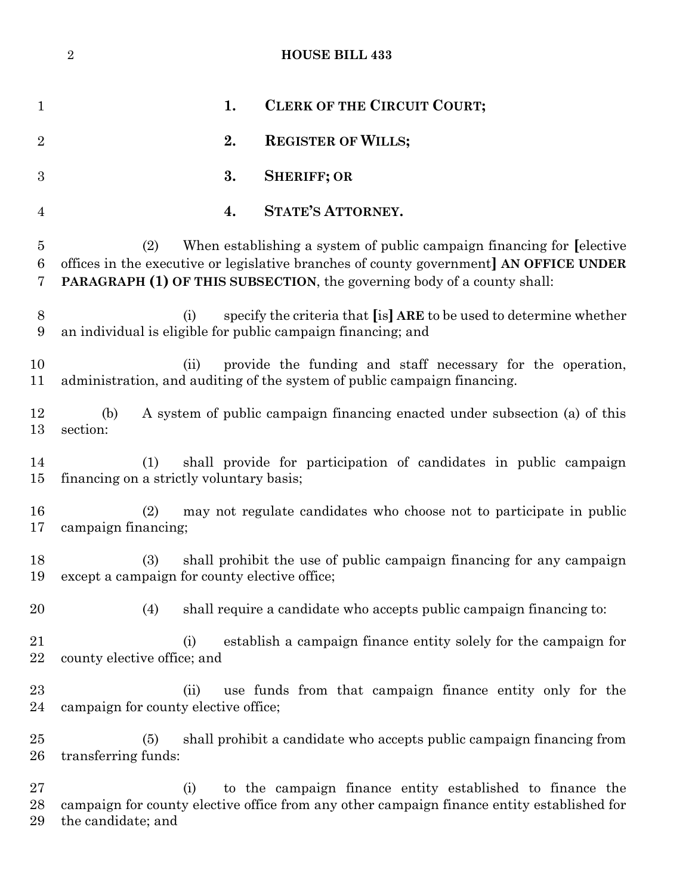|                | $\sqrt{2}$<br><b>HOUSE BILL 433</b>                                                                                                                                                                                                                       |  |
|----------------|-----------------------------------------------------------------------------------------------------------------------------------------------------------------------------------------------------------------------------------------------------------|--|
| $\mathbf{1}$   | 1.<br>CLERK OF THE CIRCUIT COURT;                                                                                                                                                                                                                         |  |
| $\overline{2}$ | <b>REGISTER OF WILLS;</b><br>2.                                                                                                                                                                                                                           |  |
| 3              | 3.<br><b>SHERIFF; OR</b>                                                                                                                                                                                                                                  |  |
| 4              | <b>STATE'S ATTORNEY.</b><br>4.                                                                                                                                                                                                                            |  |
| 5<br>6<br>7    | When establishing a system of public campaign financing for [elective]<br>(2)<br>offices in the executive or legislative branches of county government] AN OFFICE UNDER<br><b>PARAGRAPH (1) OF THIS SUBSECTION, the governing body of a county shall:</b> |  |
| 8<br>9         | specify the criteria that [is] ARE to be used to determine whether<br>(i)<br>an individual is eligible for public campaign financing; and                                                                                                                 |  |
| 10<br>11       | provide the funding and staff necessary for the operation,<br>(ii)<br>administration, and auditing of the system of public campaign financing.                                                                                                            |  |
| 12<br>13       | A system of public campaign financing enacted under subsection (a) of this<br>(b)<br>section:                                                                                                                                                             |  |
| 14<br>15       | shall provide for participation of candidates in public campaign<br>(1)<br>financing on a strictly voluntary basis;                                                                                                                                       |  |
| 16<br>17       | may not regulate candidates who choose not to participate in public<br>(2)<br>campaign financing;                                                                                                                                                         |  |
| 18<br>19       | shall prohibit the use of public campaign financing for any campaign<br>(3)<br>except a campaign for county elective office;                                                                                                                              |  |
| 20             | shall require a candidate who accepts public campaign financing to:<br>(4)                                                                                                                                                                                |  |
| 21<br>22       | establish a campaign finance entity solely for the campaign for<br>(i)<br>county elective office; and                                                                                                                                                     |  |
| 23<br>24       | use funds from that campaign finance entity only for the<br>(ii)<br>campaign for county elective office;                                                                                                                                                  |  |
| 25<br>26       | shall prohibit a candidate who accepts public campaign financing from<br>(5)<br>transferring funds:                                                                                                                                                       |  |
| 27<br>28<br>29 | to the campaign finance entity established to finance the<br>(i)<br>campaign for county elective office from any other campaign finance entity established for<br>the candidate; and                                                                      |  |